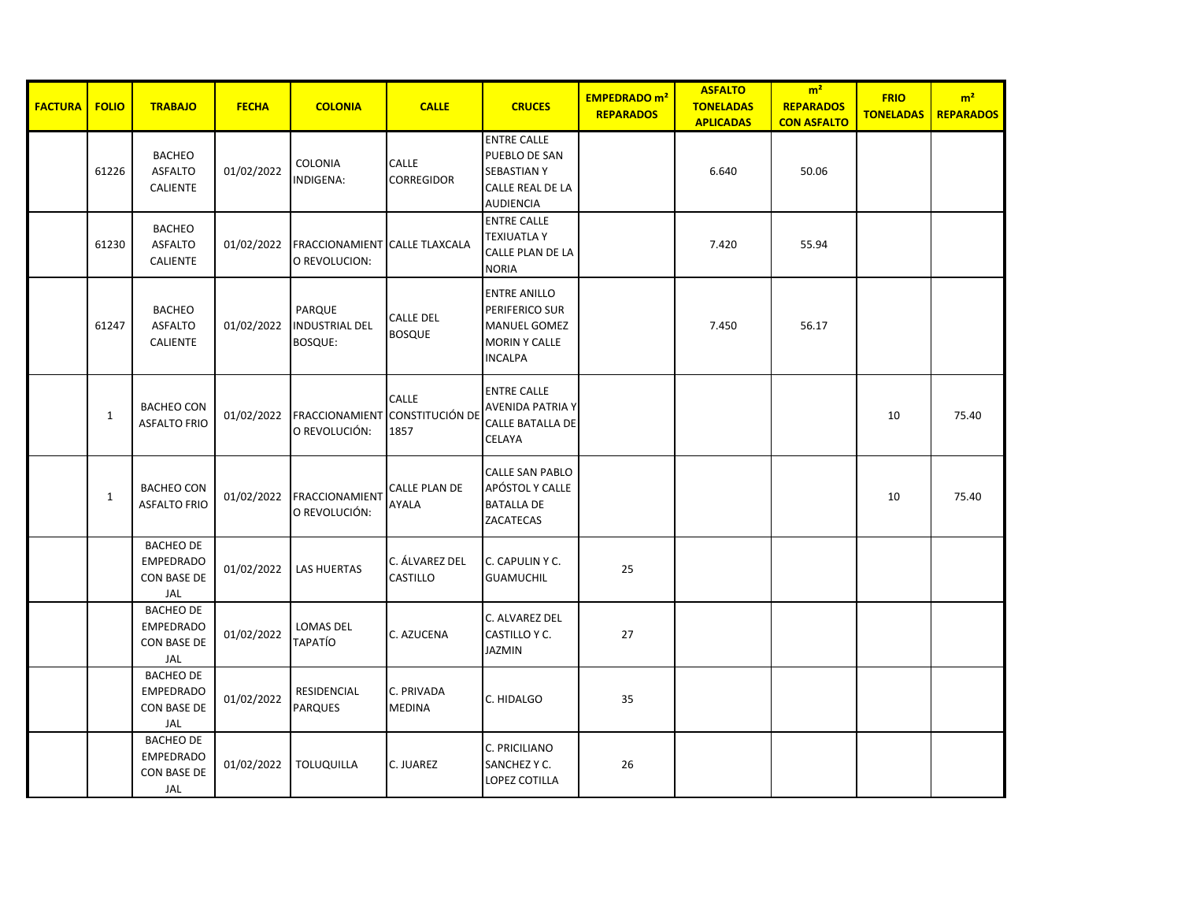| <b>FACTURA</b> | <b>FOLIO</b> | <b>TRABAJO</b>                                                    | <b>FECHA</b> | <b>COLONIA</b>                                        | <b>CALLE</b>                      | <b>CRUCES</b>                                                                                          | <b>EMPEDRADO</b> m <sup>2</sup><br><b>REPARADOS</b> | <b>ASFALTO</b><br><b>TONELADAS</b><br><b>APLICADAS</b> | m <sup>2</sup><br><b>REPARADOS</b><br><b>CON ASFALTO</b> | <b>FRIO</b><br><b>TONELADAS</b> | m <sup>2</sup><br><b>REPARADOS</b> |
|----------------|--------------|-------------------------------------------------------------------|--------------|-------------------------------------------------------|-----------------------------------|--------------------------------------------------------------------------------------------------------|-----------------------------------------------------|--------------------------------------------------------|----------------------------------------------------------|---------------------------------|------------------------------------|
|                | 61226        | <b>BACHEO</b><br><b>ASFALTO</b><br><b>CALIENTE</b>                | 01/02/2022   | COLONIA<br>INDIGENA:                                  | CALLE<br>CORREGIDOR               | <b>ENTRE CALLE</b><br>PUEBLO DE SAN<br><b>SEBASTIAN Y</b><br>CALLE REAL DE LA<br><b>AUDIENCIA</b>      |                                                     | 6.640                                                  | 50.06                                                    |                                 |                                    |
|                | 61230        | <b>BACHEO</b><br><b>ASFALTO</b><br><b>CALIENTE</b>                | 01/02/2022   | <b>FRACCIONAMIENT CALLE TLAXCALA</b><br>O REVOLUCION: |                                   | <b>ENTRE CALLE</b><br><b>TEXIUATLA Y</b><br>CALLE PLAN DE LA<br><b>NORIA</b>                           |                                                     | 7.420                                                  | 55.94                                                    |                                 |                                    |
|                | 61247        | <b>BACHEO</b><br><b>ASFALTO</b><br><b>CALIENTE</b>                | 01/02/2022   | PARQUE<br><b>INDUSTRIAL DEL</b><br><b>BOSQUE:</b>     | <b>CALLE DEL</b><br><b>BOSQUE</b> | <b>ENTRE ANILLO</b><br>PERIFERICO SUR<br><b>MANUEL GOMEZ</b><br><b>MORIN Y CALLE</b><br><b>INCALPA</b> |                                                     | 7.450                                                  | 56.17                                                    |                                 |                                    |
|                | $\mathbf{1}$ | <b>BACHEO CON</b><br><b>ASFALTO FRIO</b>                          | 01/02/2022   | FRACCIONAMIENT CONSTITUCIÓN DE<br>O REVOLUCIÓN:       | <b>CALLE</b><br>1857              | <b>ENTRE CALLE</b><br><b>AVENIDA PATRIA Y</b><br>CALLE BATALLA DE<br>CELAYA                            |                                                     |                                                        |                                                          | 10                              | 75.40                              |
|                | $\mathbf{1}$ | <b>BACHEO CON</b><br><b>ASFALTO FRIO</b>                          | 01/02/2022   | FRACCIONAMIENT<br>O REVOLUCIÓN:                       | CALLE PLAN DE<br>AYALA            | <b>CALLE SAN PABLO</b><br>APÓSTOL Y CALLE<br><b>BATALLA DE</b><br>ZACATECAS                            |                                                     |                                                        |                                                          | 10                              | 75.40                              |
|                |              | <b>BACHEO DE</b><br><b>EMPEDRADO</b><br>CON BASE DE<br>JAL        | 01/02/2022   | <b>LAS HUERTAS</b>                                    | C. ÁLVAREZ DEL<br>CASTILLO        | C. CAPULIN Y C.<br><b>GUAMUCHIL</b>                                                                    | 25                                                  |                                                        |                                                          |                                 |                                    |
|                |              | <b>BACHEO DE</b><br><b>EMPEDRADO</b><br><b>CON BASE DE</b><br>JAL | 01/02/2022   | LOMAS DEL<br>ΤΑΡΑΤΊΟ                                  | C. AZUCENA                        | C. ALVAREZ DEL<br>CASTILLO Y C.<br><b>JAZMIN</b>                                                       | 27                                                  |                                                        |                                                          |                                 |                                    |
|                |              | <b>BACHEO DE</b><br>EMPEDRADO<br><b>CON BASE DE</b><br>JAL        | 01/02/2022   | RESIDENCIAL<br><b>PARQUES</b>                         | C. PRIVADA<br><b>MEDINA</b>       | C. HIDALGO                                                                                             | 35                                                  |                                                        |                                                          |                                 |                                    |
|                |              | <b>BACHEO DE</b><br><b>EMPEDRADO</b><br><b>CON BASE DE</b><br>JAL | 01/02/2022   | <b>TOLUQUILLA</b>                                     | C. JUAREZ                         | C. PRICILIANO<br>SANCHEZ Y C.<br>LOPEZ COTILLA                                                         | 26                                                  |                                                        |                                                          |                                 |                                    |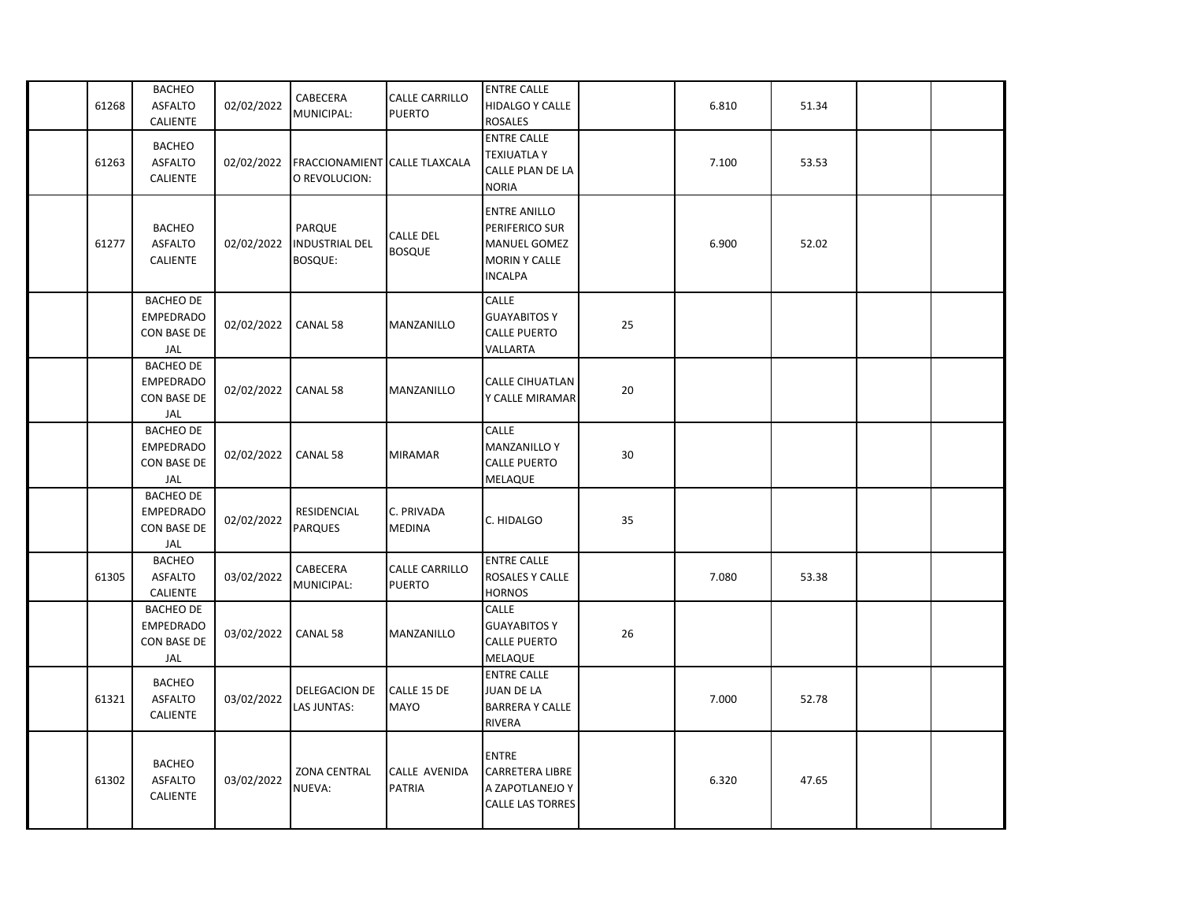| 61268 | <b>BACHEO</b><br><b>ASFALTO</b><br>CALIENTE                       | 02/02/2022 | CABECERA<br>MUNICIPAL:                            | CALLE CARRILLO<br><b>PUERTO</b>        | <b>ENTRE CALLE</b><br><b>HIDALGO Y CALLE</b><br><b>ROSALES</b>                                  |    | 6.810 | 51.34 |  |
|-------|-------------------------------------------------------------------|------------|---------------------------------------------------|----------------------------------------|-------------------------------------------------------------------------------------------------|----|-------|-------|--|
| 61263 | <b>BACHEO</b><br><b>ASFALTO</b><br><b>CALIENTE</b>                | 02/02/2022 | <b>FRACCIONAMIENT</b><br>O REVOLUCION:            | <b>CALLE TLAXCALA</b>                  | <b>ENTRE CALLE</b><br><b>TEXIUATLA Y</b><br>CALLE PLAN DE LA<br><b>NORIA</b>                    |    | 7.100 | 53.53 |  |
| 61277 | <b>BACHEO</b><br><b>ASFALTO</b><br><b>CALIENTE</b>                | 02/02/2022 | PARQUE<br><b>INDUSTRIAL DEL</b><br><b>BOSQUE:</b> | <b>CALLE DEL</b><br><b>BOSQUE</b>      | <b>ENTRE ANILLO</b><br>PERIFERICO SUR<br><b>MANUEL GOMEZ</b><br>MORIN Y CALLE<br><b>INCALPA</b> |    | 6.900 | 52.02 |  |
|       | <b>BACHEO DE</b><br><b>EMPEDRADO</b><br><b>CON BASE DE</b><br>JAL | 02/02/2022 | CANAL 58                                          | MANZANILLO                             | CALLE<br><b>GUAYABITOS Y</b><br><b>CALLE PUERTO</b><br>VALLARTA                                 | 25 |       |       |  |
|       | <b>BACHEO DE</b><br><b>EMPEDRADO</b><br><b>CON BASE DE</b><br>JAL | 02/02/2022 | CANAL 58                                          | MANZANILLO                             | <b>CALLE CIHUATLAN</b><br>Y CALLE MIRAMAR                                                       | 20 |       |       |  |
|       | <b>BACHEO DE</b><br><b>EMPEDRADO</b><br>CON BASE DE<br>JAL        | 02/02/2022 | CANAL 58                                          | <b>MIRAMAR</b>                         | <b>CALLE</b><br><b>MANZANILLO Y</b><br><b>CALLE PUERTO</b><br>MELAQUE                           | 30 |       |       |  |
|       | <b>BACHEO DE</b><br><b>EMPEDRADO</b><br><b>CON BASE DE</b><br>JAL | 02/02/2022 | RESIDENCIAL<br><b>PARQUES</b>                     | C. PRIVADA<br><b>MEDINA</b>            | C. HIDALGO                                                                                      | 35 |       |       |  |
| 61305 | <b>BACHEO</b><br><b>ASFALTO</b><br><b>CALIENTE</b>                | 03/02/2022 | CABECERA<br>MUNICIPAL:                            | <b>CALLE CARRILLO</b><br><b>PUERTO</b> | <b>ENTRE CALLE</b><br>ROSALES Y CALLE<br><b>HORNOS</b>                                          |    | 7.080 | 53.38 |  |
|       | <b>BACHEO DE</b><br><b>EMPEDRADO</b><br>CON BASE DE<br>JAL        | 03/02/2022 | CANAL 58                                          | MANZANILLO                             | CALLE<br><b>GUAYABITOS Y</b><br><b>CALLE PUERTO</b><br>MELAQUE                                  | 26 |       |       |  |
| 61321 | <b>BACHEO</b><br><b>ASFALTO</b><br><b>CALIENTE</b>                | 03/02/2022 | DELEGACION DE<br>LAS JUNTAS:                      | CALLE 15 DE<br><b>MAYO</b>             | <b>ENTRE CALLE</b><br><b>JUAN DE LA</b><br><b>BARRERA Y CALLE</b><br>RIVERA                     |    | 7.000 | 52.78 |  |
| 61302 | <b>BACHEO</b><br><b>ASFALTO</b><br><b>CALIENTE</b>                | 03/02/2022 | <b>ZONA CENTRAL</b><br>NUEVA:                     | CALLE AVENIDA<br>PATRIA                | <b>ENTRE</b><br><b>CARRETERA LIBRE</b><br>A ZAPOTLANEJO Y<br><b>CALLE LAS TORRES</b>            |    | 6.320 | 47.65 |  |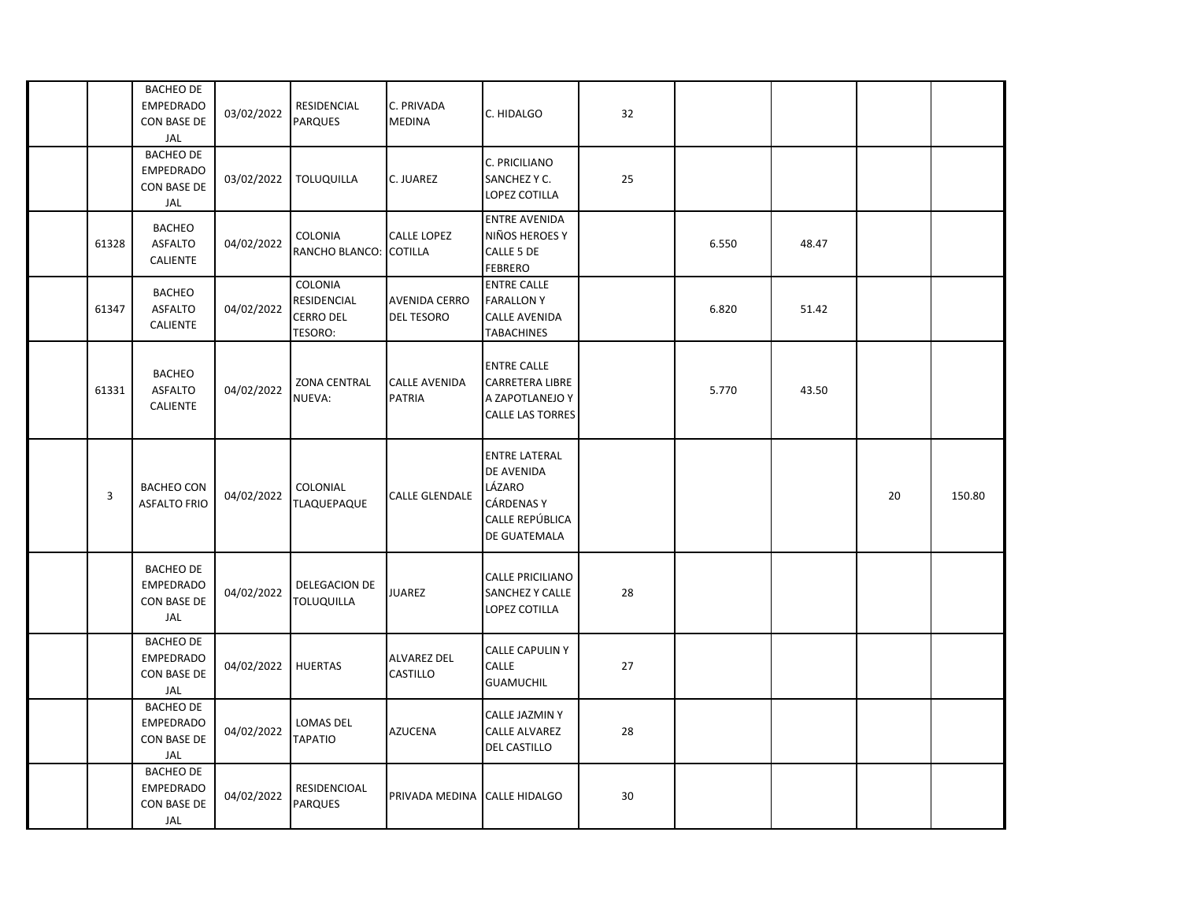|       | <b>BACHEO DE</b><br><b>EMPEDRADO</b><br><b>CON BASE DE</b><br>JAL | 03/02/2022 | RESIDENCIAL<br><b>PARQUES</b>                         | C. PRIVADA<br><b>MEDINA</b>               | C. HIDALGO                                                                                           | 32 |       |       |    |        |
|-------|-------------------------------------------------------------------|------------|-------------------------------------------------------|-------------------------------------------|------------------------------------------------------------------------------------------------------|----|-------|-------|----|--------|
|       | <b>BACHEO DE</b><br><b>EMPEDRADO</b><br>CON BASE DE<br>JAL        | 03/02/2022 | <b>TOLUQUILLA</b>                                     | C. JUAREZ                                 | C. PRICILIANO<br>SANCHEZ Y C.<br><b>LOPEZ COTILLA</b>                                                | 25 |       |       |    |        |
| 61328 | <b>BACHEO</b><br><b>ASFALTO</b><br>CALIENTE                       | 04/02/2022 | COLONIA<br>RANCHO BLANCO: COTILLA                     | <b>CALLE LOPEZ</b>                        | <b>ENTRE AVENIDA</b><br>NIÑOS HEROES Y<br>CALLE 5 DE<br><b>FEBRERO</b>                               |    | 6.550 | 48.47 |    |        |
| 61347 | <b>BACHEO</b><br><b>ASFALTO</b><br>CALIENTE                       | 04/02/2022 | COLONIA<br>RESIDENCIAL<br><b>CERRO DEL</b><br>TESORO: | <b>AVENIDA CERRO</b><br><b>DEL TESORO</b> | <b>ENTRE CALLE</b><br><b>FARALLON Y</b><br><b>CALLE AVENIDA</b><br><b>TABACHINES</b>                 |    | 6.820 | 51.42 |    |        |
| 61331 | <b>BACHEO</b><br><b>ASFALTO</b><br><b>CALIENTE</b>                | 04/02/2022 | <b>ZONA CENTRAL</b><br>NUEVA:                         | <b>CALLE AVENIDA</b><br><b>PATRIA</b>     | <b>ENTRE CALLE</b><br><b>CARRETERA LIBRE</b><br>A ZAPOTLANEJO Y<br><b>CALLE LAS TORRES</b>           |    | 5.770 | 43.50 |    |        |
| 3     | <b>BACHEO CON</b><br><b>ASFALTO FRIO</b>                          | 04/02/2022 | COLONIAL<br>TLAQUEPAQUE                               | <b>CALLE GLENDALE</b>                     | <b>ENTRE LATERAL</b><br>DE AVENIDA<br>LÁZARO<br><b>CÁRDENAS Y</b><br>CALLE REPÚBLICA<br>DE GUATEMALA |    |       |       | 20 | 150.80 |
|       | <b>BACHEO DE</b><br><b>EMPEDRADO</b><br><b>CON BASE DE</b><br>JAL | 04/02/2022 | DELEGACION DE<br><b>TOLUQUILLA</b>                    | <b>JUAREZ</b>                             | <b>CALLE PRICILIANO</b><br><b>SANCHEZ Y CALLE</b><br>LOPEZ COTILLA                                   | 28 |       |       |    |        |
|       | <b>BACHEO DE</b><br><b>EMPEDRADO</b><br><b>CON BASE DE</b><br>JAL | 04/02/2022 | <b>HUERTAS</b>                                        | <b>ALVAREZ DEL</b><br><b>CASTILLO</b>     | <b>CALLE CAPULIN Y</b><br>CALLE<br><b>GUAMUCHIL</b>                                                  | 27 |       |       |    |        |
|       | <b>BACHEO DE</b><br><b>EMPEDRADO</b><br>CON BASE DE<br>JAL        | 04/02/2022 | LOMAS DEL<br><b>TAPATIO</b>                           | <b>AZUCENA</b>                            | <b>CALLE JAZMIN Y</b><br><b>CALLE ALVAREZ</b><br><b>DEL CASTILLO</b>                                 | 28 |       |       |    |        |
|       | <b>BACHEO DE</b><br><b>EMPEDRADO</b><br>CON BASE DE<br>JAL        | 04/02/2022 | RESIDENCIOAL<br><b>PARQUES</b>                        | PRIVADA MEDINA CALLE HIDALGO              |                                                                                                      | 30 |       |       |    |        |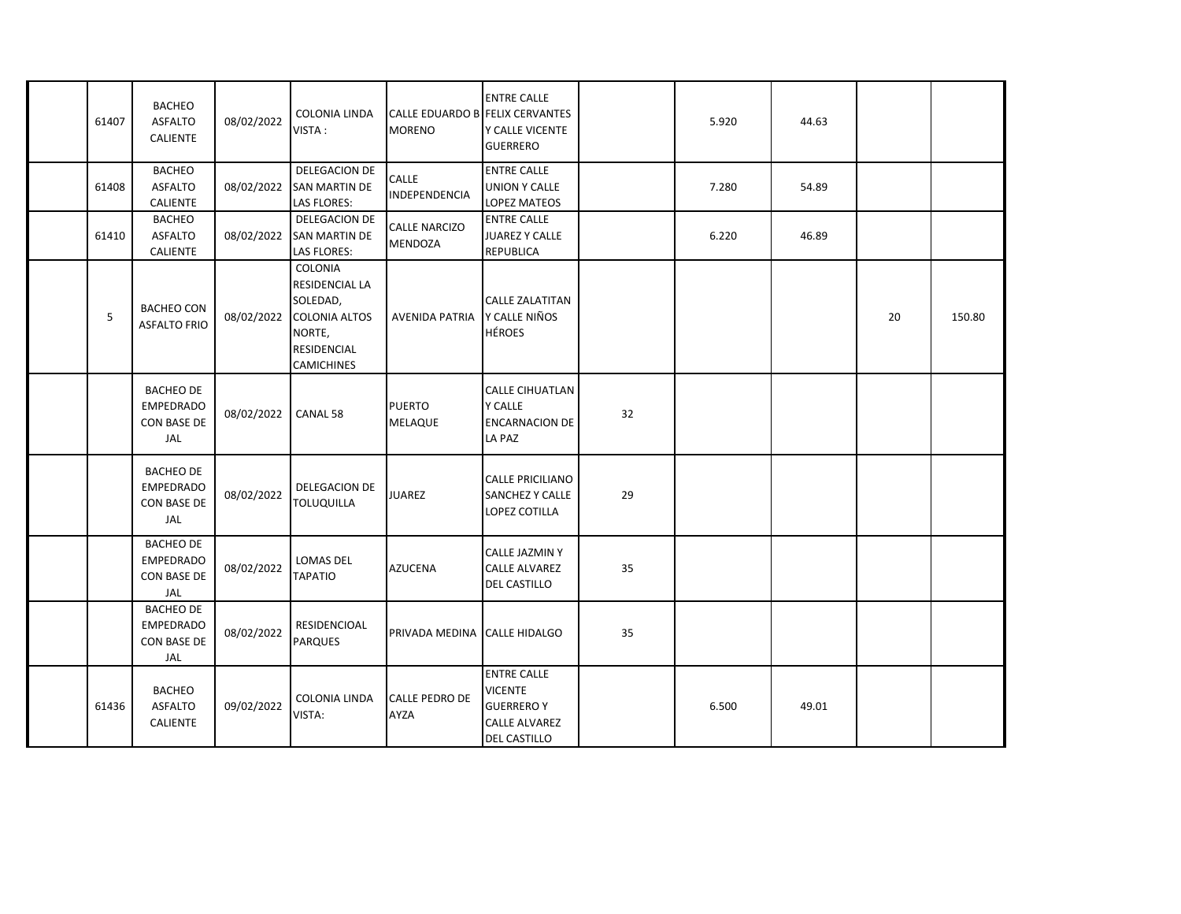| 61407 | <b>BACHEO</b><br><b>ASFALTO</b><br><b>CALIENTE</b>                | 08/02/2022 | <b>COLONIA LINDA</b><br>VISTA:                                                                       | CALLE EDUARDO B FELIX CERVANTES<br><b>MORENO</b> | <b>ENTRE CALLE</b><br>Y CALLE VICENTE<br><b>GUERRERO</b>                                                |    | 5.920 | 44.63 |    |        |
|-------|-------------------------------------------------------------------|------------|------------------------------------------------------------------------------------------------------|--------------------------------------------------|---------------------------------------------------------------------------------------------------------|----|-------|-------|----|--------|
| 61408 | <b>BACHEO</b><br><b>ASFALTO</b><br><b>CALIENTE</b>                | 08/02/2022 | DELEGACION DE<br><b>SAN MARTIN DE</b><br>LAS FLORES:                                                 | CALLE<br>INDEPENDENCIA                           | <b>ENTRE CALLE</b><br><b>UNION Y CALLE</b><br><b>LOPEZ MATEOS</b>                                       |    | 7.280 | 54.89 |    |        |
| 61410 | <b>BACHEO</b><br><b>ASFALTO</b><br>CALIENTE                       | 08/02/2022 | DELEGACION DE<br><b>SAN MARTIN DE</b><br>LAS FLORES:                                                 | <b>CALLE NARCIZO</b><br><b>MENDOZA</b>           | <b>ENTRE CALLE</b><br><b>JUAREZ Y CALLE</b><br><b>REPUBLICA</b>                                         |    | 6.220 | 46.89 |    |        |
| 5     | <b>BACHEO CON</b><br><b>ASFALTO FRIO</b>                          | 08/02/2022 | COLONIA<br>RESIDENCIAL LA<br>SOLEDAD,<br><b>COLONIA ALTOS</b><br>NORTE,<br>RESIDENCIAL<br>CAMICHINES | <b>AVENIDA PATRIA</b>                            | <b>CALLE ZALATITAN</b><br>Y CALLE NIÑOS<br><b>HÉROES</b>                                                |    |       |       | 20 | 150.80 |
|       | <b>BACHEO DE</b><br><b>EMPEDRADO</b><br><b>CON BASE DE</b><br>JAL | 08/02/2022 | CANAL 58                                                                                             | <b>PUERTO</b><br><b>MELAQUE</b>                  | <b>CALLE CIHUATLAN</b><br><b>Y CALLE</b><br><b>ENCARNACION DE</b><br>LA PAZ                             | 32 |       |       |    |        |
|       | <b>BACHEO DE</b><br><b>EMPEDRADO</b><br>CON BASE DE<br>JAL        | 08/02/2022 | DELEGACION DE<br><b>TOLUQUILLA</b>                                                                   | <b>JUAREZ</b>                                    | <b>CALLE PRICILIANO</b><br><b>SANCHEZ Y CALLE</b><br>LOPEZ COTILLA                                      | 29 |       |       |    |        |
|       | <b>BACHEO DE</b><br><b>EMPEDRADO</b><br><b>CON BASE DE</b><br>JAL | 08/02/2022 | LOMAS DEL<br><b>TAPATIO</b>                                                                          | <b>AZUCENA</b>                                   | CALLE JAZMIN Y<br>CALLE ALVAREZ<br><b>DEL CASTILLO</b>                                                  | 35 |       |       |    |        |
|       | <b>BACHEO DE</b><br><b>EMPEDRADO</b><br>CON BASE DE<br>JAL        | 08/02/2022 | RESIDENCIOAL<br><b>PARQUES</b>                                                                       | PRIVADA MEDINA                                   | <b>CALLE HIDALGO</b>                                                                                    | 35 |       |       |    |        |
| 61436 | <b>BACHEO</b><br><b>ASFALTO</b><br><b>CALIENTE</b>                | 09/02/2022 | COLONIA LINDA<br>VISTA:                                                                              | <b>CALLE PEDRO DE</b><br><b>AYZA</b>             | <b>ENTRE CALLE</b><br><b>VICENTE</b><br><b>GUERREROY</b><br><b>CALLE ALVAREZ</b><br><b>DEL CASTILLO</b> |    | 6.500 | 49.01 |    |        |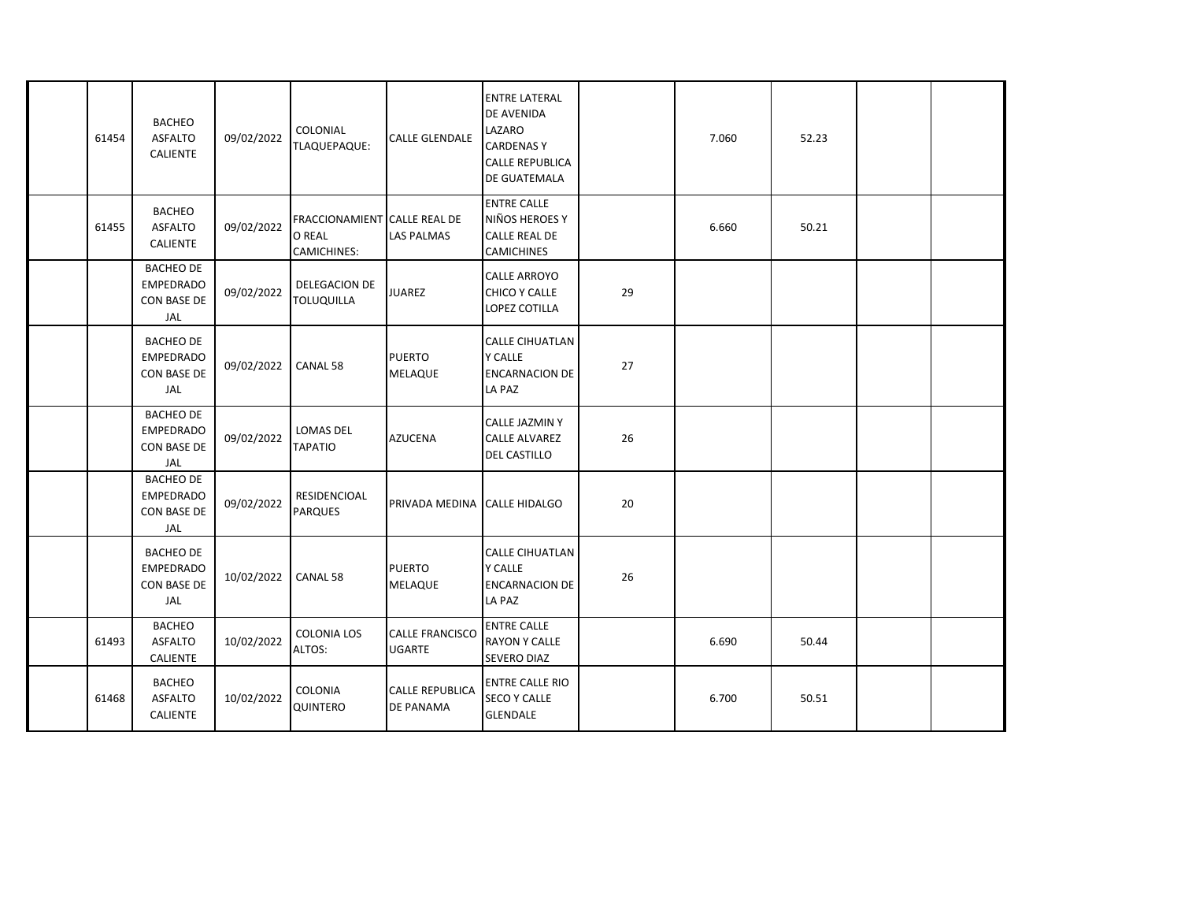| 61454 | <b>BACHEO</b><br><b>ASFALTO</b><br><b>CALIENTE</b>                | 09/02/2022 | COLONIAL<br>TLAQUEPAQUE:                                            | <b>CALLE GLENDALE</b>                   | <b>ENTRE LATERAL</b><br>DE AVENIDA<br>LAZARO<br><b>CARDENASY</b><br><b>CALLE REPUBLICA</b><br>DE GUATEMALA |    | 7.060 | 52.23 |  |
|-------|-------------------------------------------------------------------|------------|---------------------------------------------------------------------|-----------------------------------------|------------------------------------------------------------------------------------------------------------|----|-------|-------|--|
| 61455 | <b>BACHEO</b><br><b>ASFALTO</b><br><b>CALIENTE</b>                | 09/02/2022 | <b>FRACCIONAMIENT CALLE REAL DE</b><br>O REAL<br><b>CAMICHINES:</b> | <b>LAS PALMAS</b>                       | <b>ENTRE CALLE</b><br>NIÑOS HEROES Y<br><b>CALLE REAL DE</b><br><b>CAMICHINES</b>                          |    | 6.660 | 50.21 |  |
|       | <b>BACHEO DE</b><br><b>EMPEDRADO</b><br>CON BASE DE<br>JAL        | 09/02/2022 | DELEGACION DE<br><b>TOLUQUILLA</b>                                  | <b>JUAREZ</b>                           | CALLE ARROYO<br>CHICO Y CALLE<br>LOPEZ COTILLA                                                             | 29 |       |       |  |
|       | <b>BACHEO DE</b><br><b>EMPEDRADO</b><br><b>CON BASE DE</b><br>JAL | 09/02/2022 | CANAL 58                                                            | <b>PUERTO</b><br><b>MELAQUE</b>         | <b>CALLE CIHUATLAN</b><br><b>Y CALLE</b><br><b>ENCARNACION DE</b><br>LA PAZ                                | 27 |       |       |  |
|       | <b>BACHEO DE</b><br><b>EMPEDRADO</b><br><b>CON BASE DE</b><br>JAL | 09/02/2022 | <b>LOMAS DEL</b><br><b>TAPATIO</b>                                  | <b>AZUCENA</b>                          | CALLE JAZMIN Y<br><b>CALLE ALVAREZ</b><br>DEL CASTILLO                                                     | 26 |       |       |  |
|       | <b>BACHEO DE</b><br><b>EMPEDRADO</b><br>CON BASE DE<br>JAL        | 09/02/2022 | RESIDENCIOAL<br><b>PARQUES</b>                                      | PRIVADA MEDINA                          | <b>CALLE HIDALGO</b>                                                                                       | 20 |       |       |  |
|       | <b>BACHEO DE</b><br><b>EMPEDRADO</b><br><b>CON BASE DE</b><br>JAL | 10/02/2022 | CANAL 58                                                            | <b>PUERTO</b><br><b>MELAQUE</b>         | <b>CALLE CIHUATLAN</b><br><b>Y CALLE</b><br><b>ENCARNACION DE</b><br>LA PAZ                                | 26 |       |       |  |
| 61493 | <b>BACHEO</b><br><b>ASFALTO</b><br><b>CALIENTE</b>                | 10/02/2022 | <b>COLONIA LOS</b><br>ALTOS:                                        | <b>CALLE FRANCISCO</b><br><b>UGARTE</b> | <b>ENTRE CALLE</b><br><b>RAYON Y CALLE</b><br><b>SEVERO DIAZ</b>                                           |    | 6.690 | 50.44 |  |
| 61468 | <b>BACHEO</b><br><b>ASFALTO</b><br>CALIENTE                       | 10/02/2022 | COLONIA<br>QUINTERO                                                 | <b>CALLE REPUBLICA</b><br>DE PANAMA     | <b>ENTRE CALLE RIO</b><br><b>SECO Y CALLE</b><br><b>GLENDALE</b>                                           |    | 6.700 | 50.51 |  |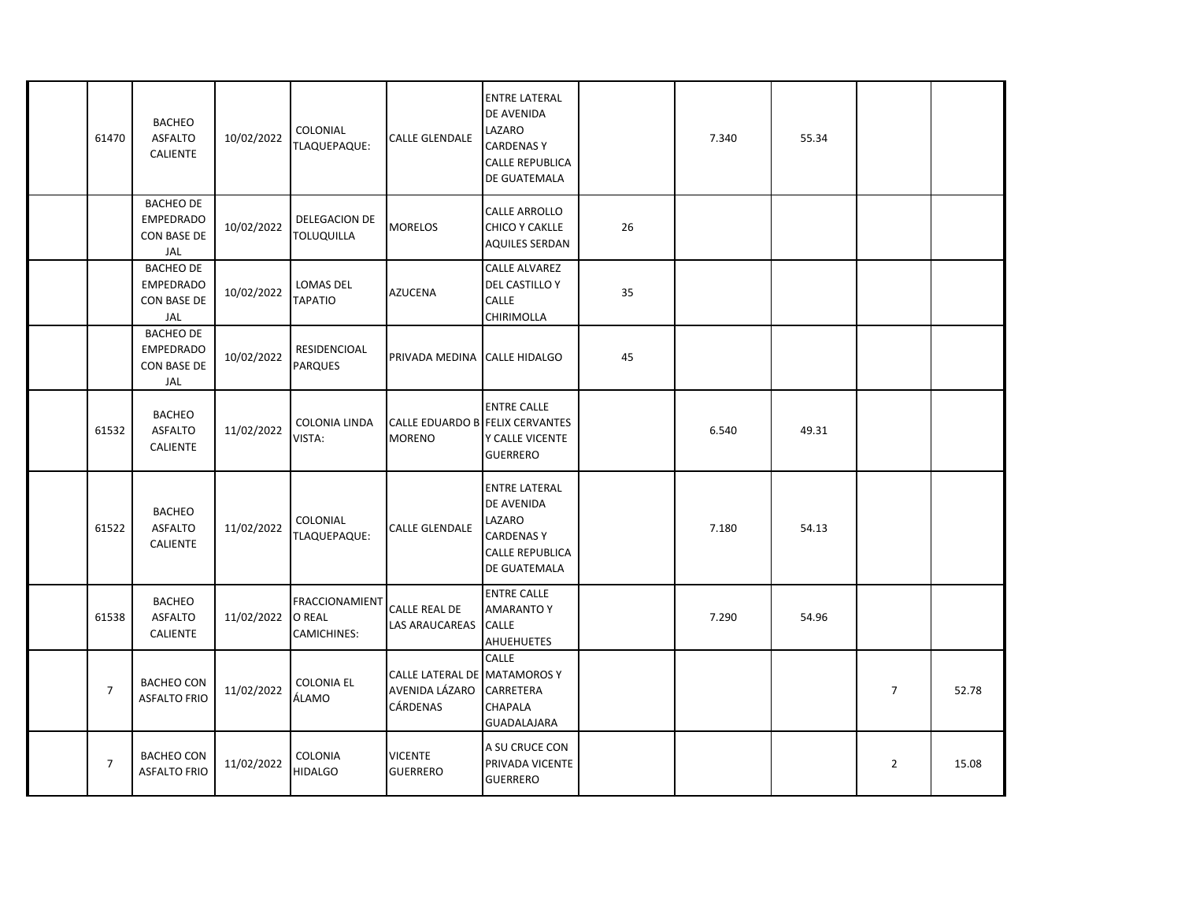| 61470          | <b>BACHEO</b><br><b>ASFALTO</b><br><b>CALIENTE</b>                | 10/02/2022 | COLONIAL<br>TLAQUEPAQUE:                       | <b>CALLE GLENDALE</b>                                      | <b>ENTRE LATERAL</b><br><b>DE AVENIDA</b><br>LAZARO<br><b>CARDENASY</b><br><b>CALLE REPUBLICA</b><br>DE GUATEMALA |    | 7.340 | 55.34 |                |       |
|----------------|-------------------------------------------------------------------|------------|------------------------------------------------|------------------------------------------------------------|-------------------------------------------------------------------------------------------------------------------|----|-------|-------|----------------|-------|
|                | <b>BACHEO DE</b><br><b>EMPEDRADO</b><br><b>CON BASE DE</b><br>JAL | 10/02/2022 | DELEGACION DE<br><b>TOLUQUILLA</b>             | <b>MORELOS</b>                                             | <b>CALLE ARROLLO</b><br><b>CHICO Y CAKLLE</b><br><b>AQUILES SERDAN</b>                                            | 26 |       |       |                |       |
|                | <b>BACHEO DE</b><br><b>EMPEDRADO</b><br><b>CON BASE DE</b><br>JAL | 10/02/2022 | LOMAS DEL<br><b>TAPATIO</b>                    | <b>AZUCENA</b>                                             | <b>CALLE ALVAREZ</b><br>DEL CASTILLO Y<br>CALLE<br><b>CHIRIMOLLA</b>                                              | 35 |       |       |                |       |
|                | <b>BACHEO DE</b><br><b>EMPEDRADO</b><br><b>CON BASE DE</b><br>JAL | 10/02/2022 | <b>RESIDENCIOAL</b><br><b>PARQUES</b>          | PRIVADA MEDINA CALLE HIDALGO                               |                                                                                                                   | 45 |       |       |                |       |
| 61532          | <b>BACHEO</b><br><b>ASFALTO</b><br><b>CALIENTE</b>                | 11/02/2022 | <b>COLONIA LINDA</b><br>VISTA:                 | <b>CALLE EDUARDO B FELIX CERVANTES</b><br><b>MORENO</b>    | <b>ENTRE CALLE</b><br>Y CALLE VICENTE<br><b>GUERRERO</b>                                                          |    | 6.540 | 49.31 |                |       |
| 61522          | <b>BACHEO</b><br><b>ASFALTO</b><br><b>CALIENTE</b>                | 11/02/2022 | COLONIAL<br>TLAQUEPAQUE:                       | <b>CALLE GLENDALE</b>                                      | <b>ENTRE LATERAL</b><br>DE AVENIDA<br>LAZARO<br><b>CARDENASY</b><br><b>CALLE REPUBLICA</b><br>DE GUATEMALA        |    | 7.180 | 54.13 |                |       |
| 61538          | <b>BACHEO</b><br><b>ASFALTO</b><br><b>CALIENTE</b>                | 11/02/2022 | <b>FRACCIONAMIENT</b><br>O REAL<br>CAMICHINES: | CALLE REAL DE<br>LAS ARAUCAREAS CALLE                      | <b>ENTRE CALLE</b><br><b>AMARANTO Y</b><br><b>AHUEHUETES</b>                                                      |    | 7.290 | 54.96 |                |       |
| $\overline{7}$ | <b>BACHEO CON</b><br><b>ASFALTO FRIO</b>                          | 11/02/2022 | <b>COLONIA EL</b><br>ÁLAMO                     | CALLE LATERAL DE MATAMOROS Y<br>AVENIDA LÁZARO<br>CÁRDENAS | <b>CALLE</b><br>CARRETERA<br><b>CHAPALA</b><br><b>GUADALAJARA</b>                                                 |    |       |       | $\overline{7}$ | 52.78 |
| $\overline{7}$ | <b>BACHEO CON</b><br><b>ASFALTO FRIO</b>                          | 11/02/2022 | COLONIA<br><b>HIDALGO</b>                      | <b>VICENTE</b><br><b>GUERRERO</b>                          | A SU CRUCE CON<br>PRIVADA VICENTE<br><b>GUERRERO</b>                                                              |    |       |       | $\overline{2}$ | 15.08 |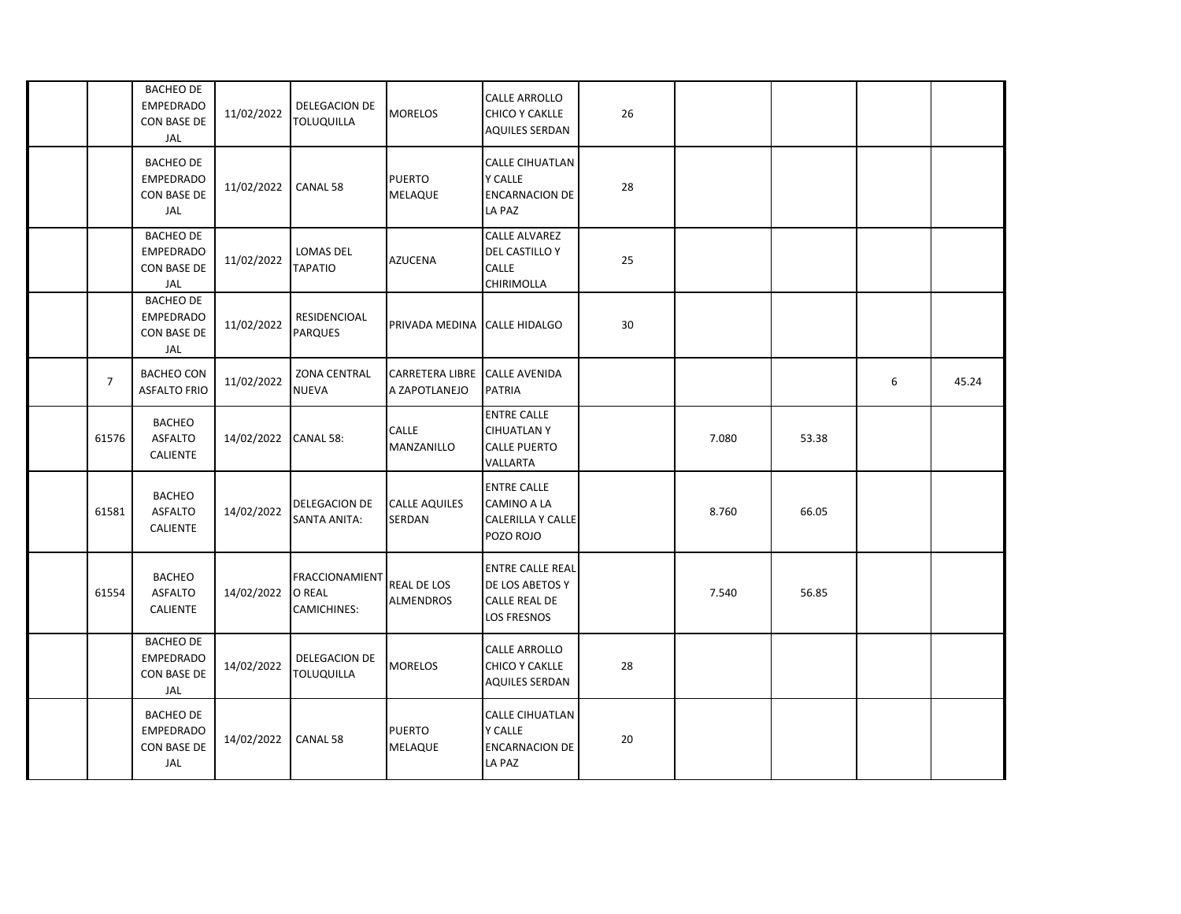|       | <b>BACHEO DE</b><br><b>EMPEDRADO</b><br>CON BASE DE<br>JAL        | 11/02/2022 | <b>DELEGACION DE</b><br><b>TOLUQUILLA</b>             | <b>MORELOS</b>                          | CALLE ARROLLO<br>CHICO Y CAKLLE<br><b>AQUILES SERDAN</b>                          | 26 |       |       |   |       |
|-------|-------------------------------------------------------------------|------------|-------------------------------------------------------|-----------------------------------------|-----------------------------------------------------------------------------------|----|-------|-------|---|-------|
|       | <b>BACHEO DE</b><br><b>EMPEDRADO</b><br><b>CON BASE DE</b><br>JAL | 11/02/2022 | CANAL 58                                              | <b>PUERTO</b><br>MELAQUE                | <b>CALLE CIHUATLAN</b><br><b>Y CALLE</b><br><b>ENCARNACION DE</b><br>LA PAZ       | 28 |       |       |   |       |
|       | <b>BACHEO DE</b><br><b>EMPEDRADO</b><br>CON BASE DE<br>JAL        | 11/02/2022 | <b>LOMAS DEL</b><br><b>TAPATIO</b>                    | <b>AZUCENA</b>                          | <b>CALLE ALVAREZ</b><br><b>DEL CASTILLO Y</b><br><b>CALLE</b><br>CHIRIMOLLA       | 25 |       |       |   |       |
|       | <b>BACHEO DE</b><br><b>EMPEDRADO</b><br>CON BASE DE<br>JAL        | 11/02/2022 | RESIDENCIOAL<br><b>PARQUES</b>                        | PRIVADA MEDINA                          | <b>CALLE HIDALGO</b>                                                              | 30 |       |       |   |       |
| 7     | <b>BACHEO CON</b><br><b>ASFALTO FRIO</b>                          | 11/02/2022 | <b>ZONA CENTRAL</b><br><b>NUEVA</b>                   | <b>CARRETERA LIBRE</b><br>A ZAPOTLANEJO | <b>CALLE AVENIDA</b><br><b>PATRIA</b>                                             |    |       |       | 6 | 45.24 |
| 61576 | <b>BACHEO</b><br><b>ASFALTO</b><br><b>CALIENTE</b>                | 14/02/2022 | CANAL 58:                                             | <b>CALLE</b><br>MANZANILLO              | <b>ENTRE CALLE</b><br><b>CIHUATLANY</b><br><b>CALLE PUERTO</b><br>VALLARTA        |    | 7.080 | 53.38 |   |       |
| 61581 | <b>BACHEO</b><br><b>ASFALTO</b><br><b>CALIENTE</b>                | 14/02/2022 | DELEGACION DE<br><b>SANTA ANITA:</b>                  | <b>CALLE AQUILES</b><br>SERDAN          | <b>ENTRE CALLE</b><br><b>CAMINO A LA</b><br><b>CALERILLA Y CALLE</b><br>POZO ROJO |    | 8.760 | 66.05 |   |       |
| 61554 | <b>BACHEO</b><br><b>ASFALTO</b><br><b>CALIENTE</b>                | 14/02/2022 | <b>FRACCIONAMIENT</b><br>O REAL<br><b>CAMICHINES:</b> | <b>REAL DE LOS</b><br><b>ALMENDROS</b>  | <b>ENTRE CALLE REAL</b><br>DE LOS ABETOS Y<br>CALLE REAL DE<br><b>LOS FRESNOS</b> |    | 7.540 | 56.85 |   |       |
|       | <b>BACHEO DE</b><br><b>EMPEDRADO</b><br>CON BASE DE<br>JAL        | 14/02/2022 | DELEGACION DE<br><b>TOLUQUILLA</b>                    | <b>MORELOS</b>                          | CALLE ARROLLO<br>CHICO Y CAKLLE<br><b>AQUILES SERDAN</b>                          | 28 |       |       |   |       |
|       | <b>BACHEO DE</b><br><b>EMPEDRADO</b><br>CON BASE DE<br>JAL        | 14/02/2022 | CANAL 58                                              | <b>PUERTO</b><br><b>MELAQUE</b>         | <b>CALLE CIHUATLAN</b><br><b>Y CALLE</b><br><b>ENCARNACION DE</b><br>LA PAZ       | 20 |       |       |   |       |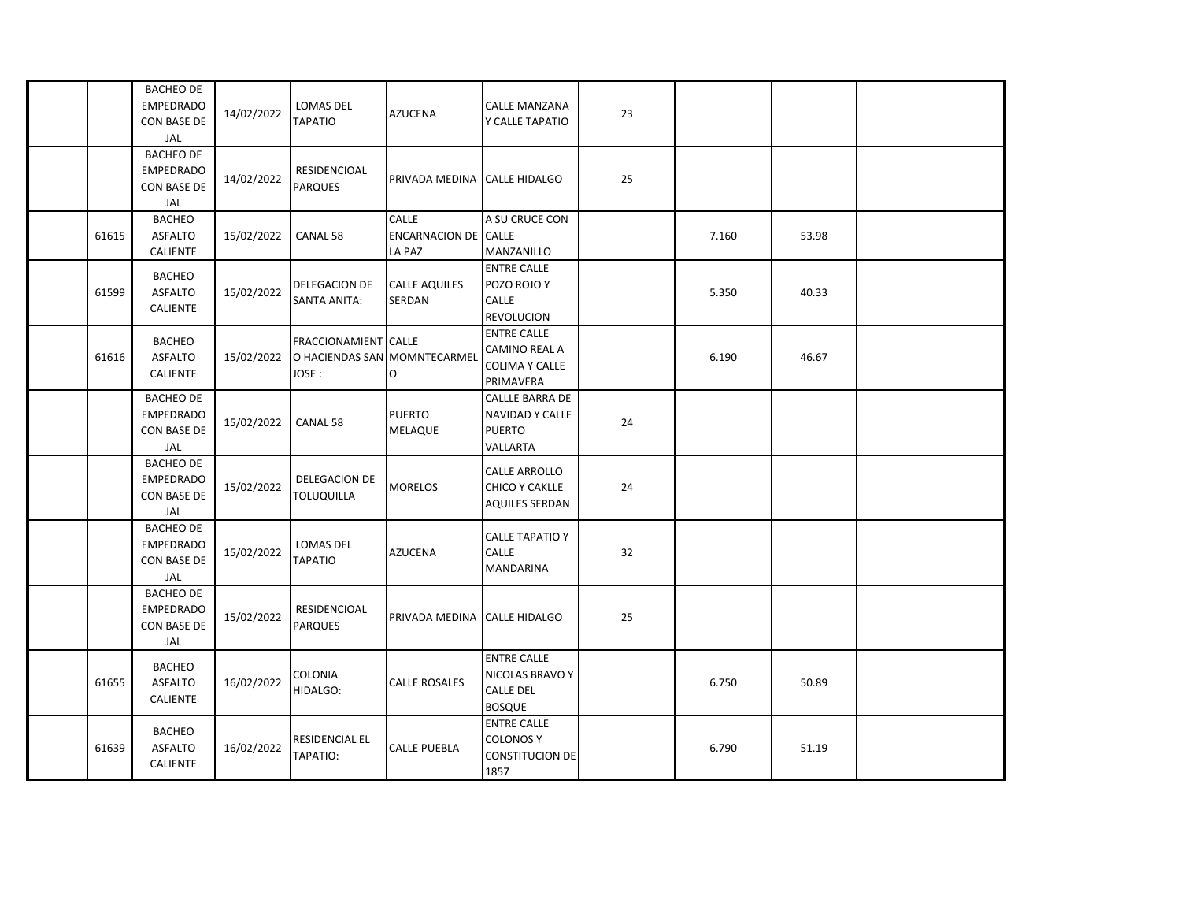|       | <b>BACHEO DE</b><br><b>EMPEDRADO</b><br><b>CON BASE DE</b><br>JAL | 14/02/2022 | <b>LOMAS DEL</b><br><b>TAPATIO</b>                                    | <b>AZUCENA</b>                                        | <b>CALLE MANZANA</b><br>Y CALLE TAPATIO                                           | 23 |       |       |  |
|-------|-------------------------------------------------------------------|------------|-----------------------------------------------------------------------|-------------------------------------------------------|-----------------------------------------------------------------------------------|----|-------|-------|--|
|       | <b>BACHEO DE</b><br><b>EMPEDRADO</b><br>CON BASE DE<br>JAL        | 14/02/2022 | RESIDENCIOAL<br><b>PARQUES</b>                                        | PRIVADA MEDINA                                        | <b>CALLE HIDALGO</b>                                                              | 25 |       |       |  |
| 61615 | <b>BACHEO</b><br><b>ASFALTO</b><br><b>CALIENTE</b>                | 15/02/2022 | CANAL 58                                                              | <b>CALLE</b><br><b>ENCARNACION DE CALLE</b><br>LA PAZ | A SU CRUCE CON<br>MANZANILLO                                                      |    | 7.160 | 53.98 |  |
| 61599 | <b>BACHEO</b><br><b>ASFALTO</b><br><b>CALIENTE</b>                | 15/02/2022 | DELEGACION DE<br>SANTA ANITA:                                         | <b>CALLE AQUILES</b><br>SERDAN                        | <b>ENTRE CALLE</b><br>POZO ROJO Y<br><b>CALLE</b><br><b>REVOLUCION</b>            |    | 5.350 | 40.33 |  |
| 61616 | <b>BACHEO</b><br><b>ASFALTO</b><br><b>CALIENTE</b>                | 15/02/2022 | <b>FRACCIONAMIENT CALLE</b><br>O HACIENDAS SAN MOMNTECARMEI<br>JOSE : | O                                                     | <b>ENTRE CALLE</b><br>CAMINO REAL A<br><b>COLIMA Y CALLE</b><br>PRIMAVERA         |    | 6.190 | 46.67 |  |
|       | <b>BACHEO DE</b><br><b>EMPEDRADO</b><br><b>CON BASE DE</b><br>JAL | 15/02/2022 | CANAL 58                                                              | <b>PUERTO</b><br>MELAQUE                              | <b>CALLLE BARRA DE</b><br><b>NAVIDAD Y CALLE</b><br><b>PUERTO</b><br>VALLARTA     | 24 |       |       |  |
|       | <b>BACHEO DE</b><br><b>EMPEDRADO</b><br><b>CON BASE DE</b><br>JAL | 15/02/2022 | DELEGACION DE<br><b>TOLUQUILLA</b>                                    | <b>MORELOS</b>                                        | CALLE ARROLLO<br><b>CHICO Y CAKLLE</b><br><b>AQUILES SERDAN</b>                   | 24 |       |       |  |
|       | <b>BACHEO DE</b><br><b>EMPEDRADO</b><br>CON BASE DE<br>JAL        | 15/02/2022 | LOMAS DEL<br><b>TAPATIO</b>                                           | <b>AZUCENA</b>                                        | <b>CALLE TAPATIO Y</b><br><b>CALLE</b><br><b>MANDARINA</b>                        | 32 |       |       |  |
|       | <b>BACHEO DE</b><br><b>EMPEDRADO</b><br>CON BASE DE<br>JAL        | 15/02/2022 | RESIDENCIOAL<br><b>PARQUES</b>                                        | PRIVADA MEDINA                                        | <b>CALLE HIDALGO</b>                                                              | 25 |       |       |  |
| 61655 | <b>BACHEO</b><br><b>ASFALTO</b><br><b>CALIENTE</b>                | 16/02/2022 | <b>COLONIA</b><br>HIDALGO:                                            | CALLE ROSALES                                         | <b>ENTRE CALLE</b><br><b>NICOLAS BRAVO Y</b><br><b>CALLE DEL</b><br><b>BOSQUE</b> |    | 6.750 | 50.89 |  |
| 61639 | <b>BACHEO</b><br><b>ASFALTO</b><br>CALIENTE                       | 16/02/2022 | RESIDENCIAL EL<br>TAPATIO:                                            | CALLE PUEBLA                                          | <b>ENTRE CALLE</b><br><b>COLONOS Y</b><br><b>CONSTITUCION DE</b><br>1857          |    | 6.790 | 51.19 |  |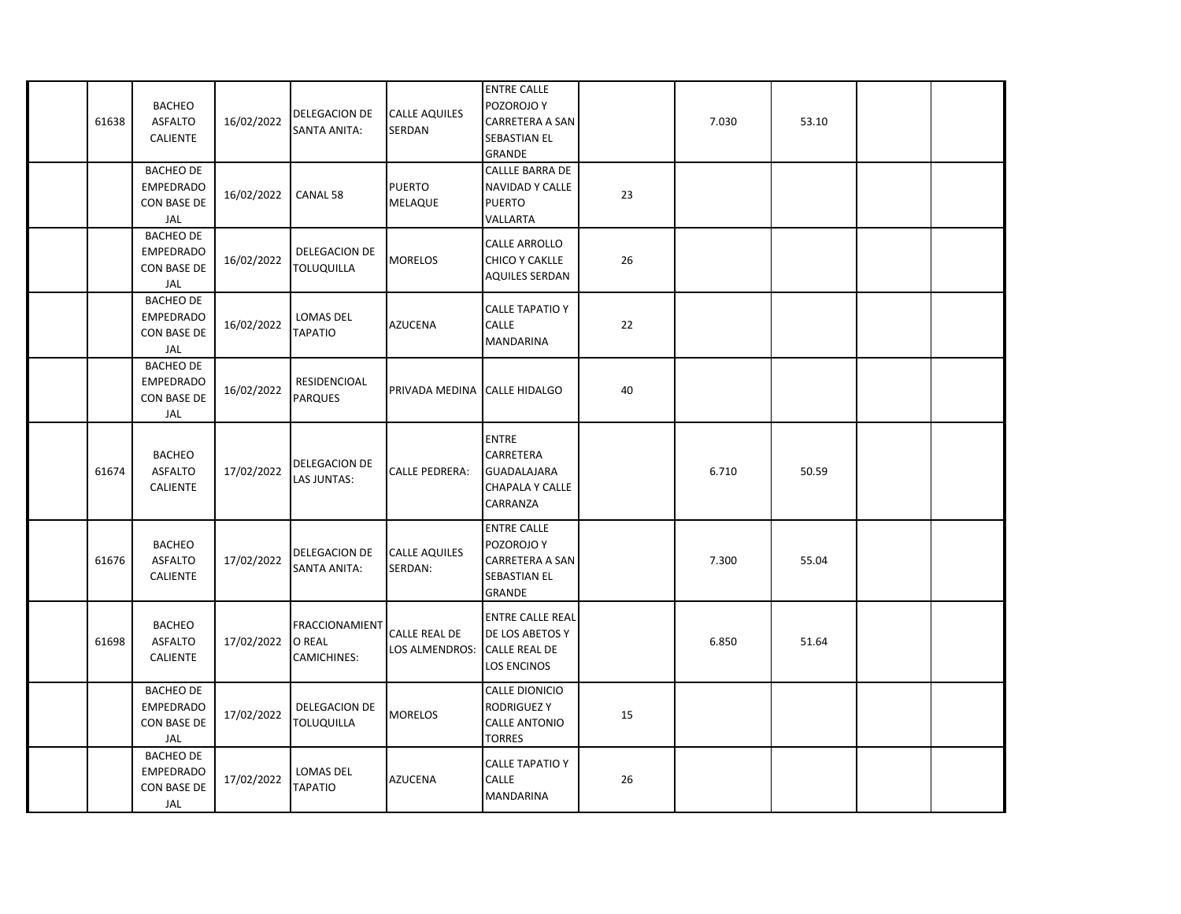| 61638 | <b>BACHEO</b><br><b>ASFALTO</b><br><b>CALIENTE</b>                | 16/02/2022 | DELEGACION DE<br>SANTA ANITA:                  | <b>CALLE AQUILES</b><br>SERDAN  | <b>ENTRE CALLE</b><br>POZOROJO Y<br>CARRETERA A SAN<br><b>SEBASTIAN EL</b><br><b>GRANDE</b> |    | 7.030 | 53.10 |  |
|-------|-------------------------------------------------------------------|------------|------------------------------------------------|---------------------------------|---------------------------------------------------------------------------------------------|----|-------|-------|--|
|       | <b>BACHEO DE</b><br><b>EMPEDRADO</b><br>CON BASE DE<br>JAL        | 16/02/2022 | CANAL 58                                       | <b>PUERTO</b><br>MELAQUE        | <b>CALLLE BARRA DE</b><br><b>NAVIDAD Y CALLE</b><br><b>PUERTO</b><br>VALLARTA               | 23 |       |       |  |
|       | <b>BACHEO DE</b><br><b>EMPEDRADO</b><br>CON BASE DE<br>JAL        | 16/02/2022 | DELEGACION DE<br><b>TOLUQUILLA</b>             | <b>MORELOS</b>                  | CALLE ARROLLO<br><b>CHICO Y CAKLLE</b><br><b>AQUILES SERDAN</b>                             | 26 |       |       |  |
|       | <b>BACHEO DE</b><br><b>EMPEDRADO</b><br>CON BASE DE<br>JAL        | 16/02/2022 | LOMAS DEL<br><b>TAPATIO</b>                    | <b>AZUCENA</b>                  | <b>CALLE TAPATIO Y</b><br><b>CALLE</b><br><b>MANDARINA</b>                                  | 22 |       |       |  |
|       | <b>BACHEO DE</b><br><b>EMPEDRADO</b><br>CON BASE DE<br>JAL        | 16/02/2022 | RESIDENCIOAL<br><b>PARQUES</b>                 | PRIVADA MEDINA                  | <b>CALLE HIDALGO</b>                                                                        | 40 |       |       |  |
| 61674 | <b>BACHEO</b><br><b>ASFALTO</b><br>CALIENTE                       | 17/02/2022 | DELEGACION DE<br>LAS JUNTAS:                   | <b>CALLE PEDRERA:</b>           | <b>ENTRE</b><br>CARRETERA<br><b>GUADALAJARA</b><br>CHAPALA Y CALLE<br>CARRANZA              |    | 6.710 | 50.59 |  |
| 61676 | <b>BACHEO</b><br><b>ASFALTO</b><br>CALIENTE                       | 17/02/2022 | DELEGACION DE<br><b>SANTA ANITA:</b>           | <b>CALLE AQUILES</b><br>SERDAN: | <b>ENTRE CALLE</b><br>POZOROJO Y<br>CARRETERA A SAN<br><b>SEBASTIAN EL</b><br><b>GRANDE</b> |    | 7.300 | 55.04 |  |
| 61698 | <b>BACHEO</b><br><b>ASFALTO</b><br><b>CALIENTE</b>                | 17/02/2022 | <b>FRACCIONAMIENT</b><br>O REAL<br>CAMICHINES: | CALLE REAL DE<br>LOS ALMENDROS: | <b>ENTRE CALLE REAL</b><br>DE LOS ABETOS Y<br><b>CALLE REAL DE</b><br>LOS ENCINOS           |    | 6.850 | 51.64 |  |
|       | <b>BACHEO DE</b><br><b>EMPEDRADO</b><br><b>CON BASE DE</b><br>JAL | 17/02/2022 | DELEGACION DE<br><b>TOLUQUILLA</b>             | <b>MORELOS</b>                  | CALLE DIONICIO<br><b>RODRIGUEZY</b><br><b>CALLE ANTONIO</b><br><b>TORRES</b>                | 15 |       |       |  |
|       | <b>BACHEO DE</b><br><b>EMPEDRADO</b><br>CON BASE DE<br>JAL        | 17/02/2022 | <b>LOMAS DEL</b><br><b>TAPATIO</b>             | <b>AZUCENA</b>                  | <b>CALLE TAPATIO Y</b><br><b>CALLE</b><br><b>MANDARINA</b>                                  | 26 |       |       |  |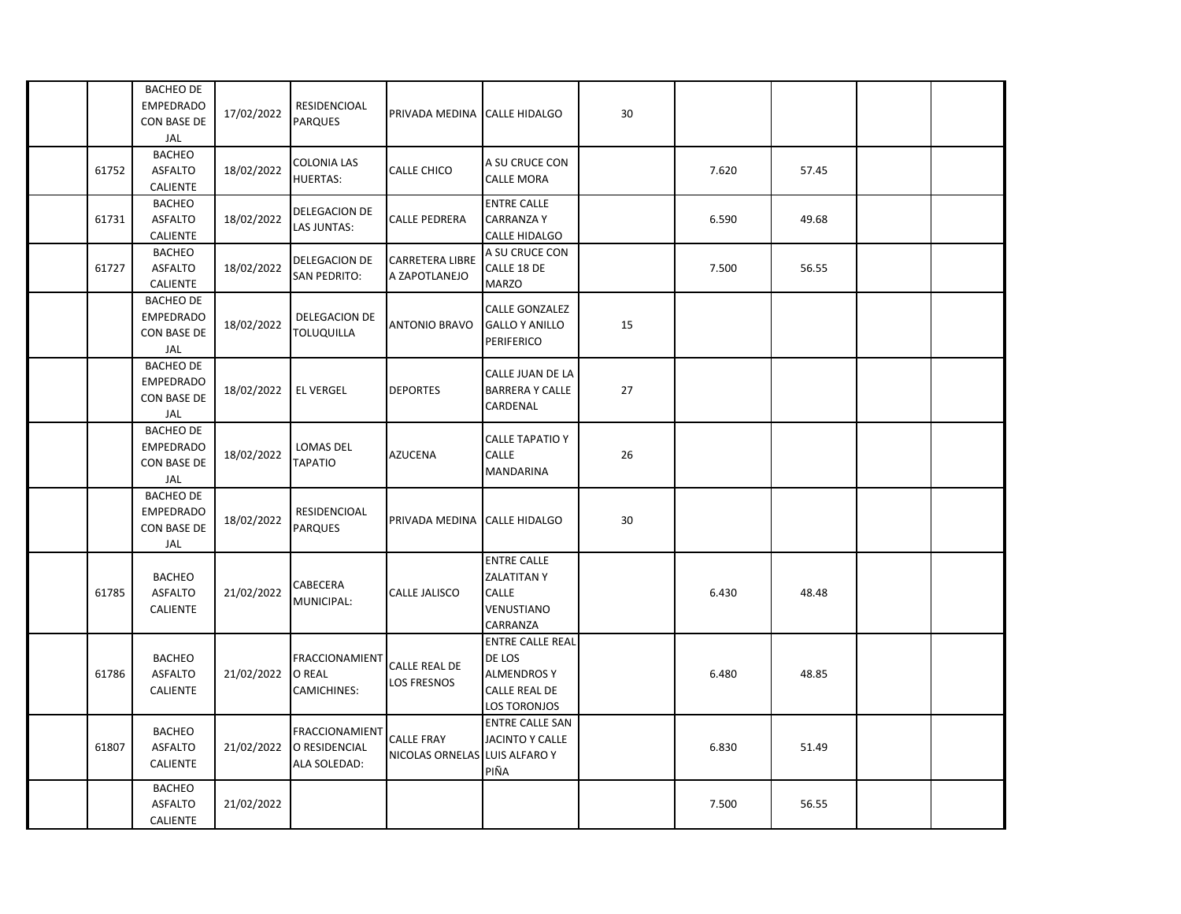|       | <b>BACHEO DE</b><br><b>EMPEDRADO</b><br>CON BASE DE<br><b>JAL</b>        | 17/02/2022 | <b>RESIDENCIOAL</b><br><b>PARQUES</b>                  | PRIVADA MEDINA                                     | <b>CALLE HIDALGO</b>                                                                                   | 30 |       |       |  |
|-------|--------------------------------------------------------------------------|------------|--------------------------------------------------------|----------------------------------------------------|--------------------------------------------------------------------------------------------------------|----|-------|-------|--|
| 61752 | <b>BACHEO</b><br><b>ASFALTO</b><br>CALIENTE                              | 18/02/2022 | COLONIA LAS<br><b>HUERTAS:</b>                         | <b>CALLE CHICO</b>                                 | A SU CRUCE CON<br><b>CALLE MORA</b>                                                                    |    | 7.620 | 57.45 |  |
| 61731 | <b>BACHEO</b><br><b>ASFALTO</b><br>CALIENTE                              | 18/02/2022 | DELEGACION DE<br>LAS JUNTAS:                           | <b>CALLE PEDRERA</b>                               | <b>ENTRE CALLE</b><br><b>CARRANZA Y</b><br>CALLE HIDALGO                                               |    | 6.590 | 49.68 |  |
| 61727 | <b>BACHEO</b><br><b>ASFALTO</b><br><b>CALIENTE</b>                       | 18/02/2022 | DELEGACION DE<br><b>SAN PEDRITO:</b>                   | <b>CARRETERA LIBRE</b><br>A ZAPOTLANEJO            | A SU CRUCE CON<br>CALLE 18 DE<br><b>MARZO</b>                                                          |    | 7.500 | 56.55 |  |
|       | <b>BACHEO DE</b><br><b>EMPEDRADO</b><br>CON BASE DE<br>JAL               | 18/02/2022 | DELEGACION DE<br><b>TOLUQUILLA</b>                     | <b>ANTONIO BRAVO</b>                               | CALLE GONZALEZ<br><b>GALLO Y ANILLO</b><br>PERIFERICO                                                  | 15 |       |       |  |
|       | <b>BACHEO DE</b><br><b>EMPEDRADO</b><br><b>CON BASE DE</b><br><b>JAL</b> | 18/02/2022 | <b>EL VERGEL</b>                                       | <b>DEPORTES</b>                                    | CALLE JUAN DE LA<br><b>BARRERA Y CALLE</b><br>CARDENAL                                                 | 27 |       |       |  |
|       | <b>BACHEO DE</b><br><b>EMPEDRADO</b><br>CON BASE DE<br>JAL               | 18/02/2022 | LOMAS DEL<br><b>TAPATIO</b>                            | <b>AZUCENA</b>                                     | <b>CALLE TAPATIO Y</b><br>CALLE<br><b>MANDARINA</b>                                                    | 26 |       |       |  |
|       | <b>BACHEO DE</b><br><b>EMPEDRADO</b><br>CON BASE DE<br>JAL               | 18/02/2022 | RESIDENCIOAL<br><b>PARQUES</b>                         | PRIVADA MEDINA                                     | <b>CALLE HIDALGO</b>                                                                                   | 30 |       |       |  |
| 61785 | <b>BACHEO</b><br><b>ASFALTO</b><br><b>CALIENTE</b>                       | 21/02/2022 | CABECERA<br>MUNICIPAL:                                 | <b>CALLE JALISCO</b>                               | <b>ENTRE CALLE</b><br><b>ZALATITANY</b><br>CALLE<br>VENUSTIANO<br>CARRANZA                             |    | 6.430 | 48.48 |  |
| 61786 | <b>BACHEO</b><br><b>ASFALTO</b><br><b>CALIENTE</b>                       | 21/02/2022 | <b>FRACCIONAMIENT</b><br><b>O REAL</b><br>CAMICHINES:  | <b>CALLE REAL DE</b><br><b>LOS FRESNOS</b>         | <b>ENTRE CALLE REAL</b><br>DE LOS<br><b>ALMENDROS Y</b><br><b>CALLE REAL DE</b><br><b>LOS TORONJOS</b> |    | 6.480 | 48.85 |  |
| 61807 | <b>BACHEO</b><br><b>ASFALTO</b><br><b>CALIENTE</b>                       | 21/02/2022 | <b>FRACCIONAMIENT</b><br>O RESIDENCIAL<br>ALA SOLEDAD: | <b>CALLE FRAY</b><br>NICOLAS ORNELAS LUIS ALFARO Y | <b>ENTRE CALLE SAN</b><br>JACINTO Y CALLE<br>PIÑA                                                      |    | 6.830 | 51.49 |  |
|       | <b>BACHEO</b><br><b>ASFALTO</b><br><b>CALIENTE</b>                       | 21/02/2022 |                                                        |                                                    |                                                                                                        |    | 7.500 | 56.55 |  |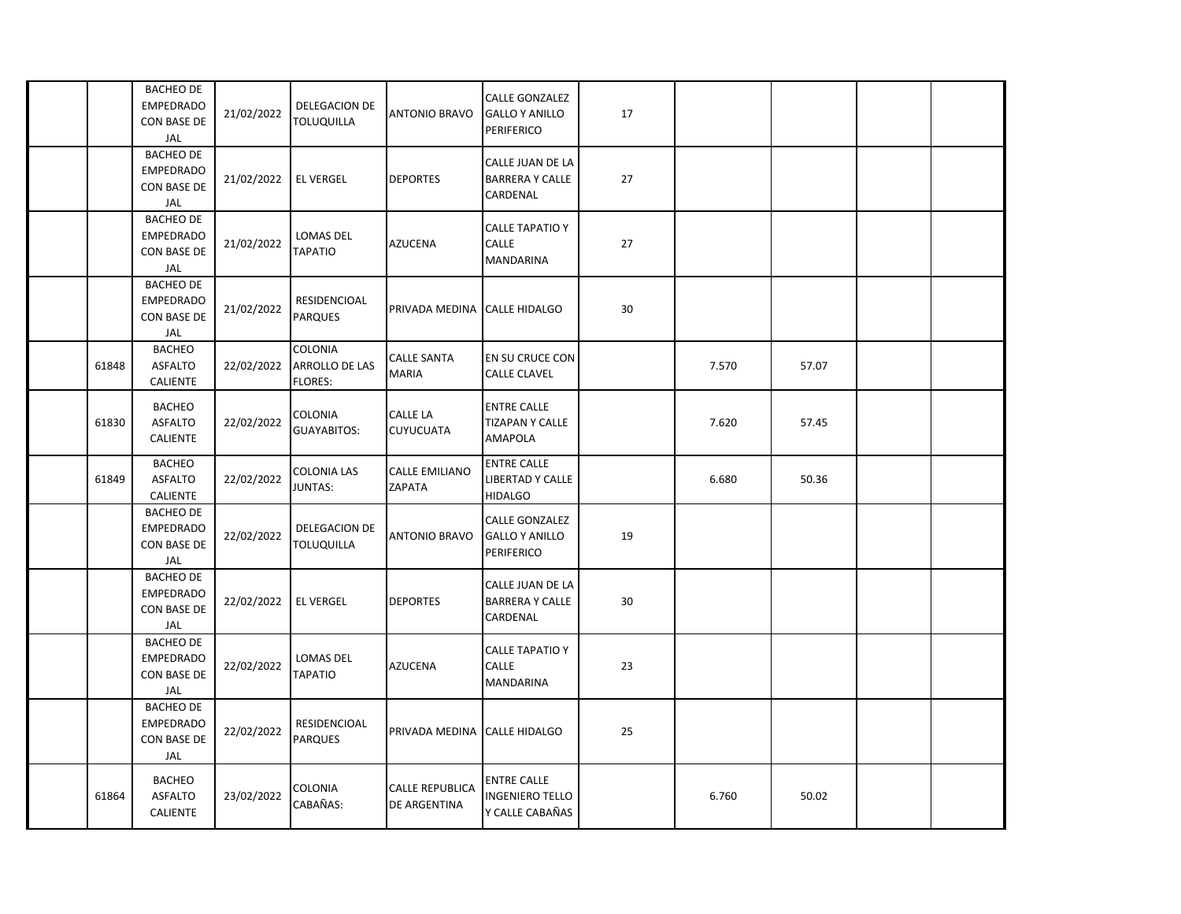|       | <b>BACHEO DE</b><br><b>EMPEDRADO</b><br>CON BASE DE<br>JAL        | 21/02/2022 | <b>DELEGACION DE</b><br><b>TOLUQUILLA</b> | <b>ANTONIO BRAVO</b>                   | <b>CALLE GONZALEZ</b><br><b>GALLO Y ANILLO</b><br>PERIFERICO    | 17 |       |       |  |
|-------|-------------------------------------------------------------------|------------|-------------------------------------------|----------------------------------------|-----------------------------------------------------------------|----|-------|-------|--|
|       | <b>BACHEO DE</b><br><b>EMPEDRADO</b><br>CON BASE DE<br>JAL        | 21/02/2022 | <b>EL VERGEL</b>                          | <b>DEPORTES</b>                        | CALLE JUAN DE LA<br><b>BARRERA Y CALLE</b><br>CARDENAL          | 27 |       |       |  |
|       | <b>BACHEO DE</b><br><b>EMPEDRADO</b><br>CON BASE DE<br>JAL        | 21/02/2022 | LOMAS DEL<br><b>TAPATIO</b>               | <b>AZUCENA</b>                         | <b>CALLE TAPATIO Y</b><br><b>CALLE</b><br><b>MANDARINA</b>      | 27 |       |       |  |
|       | <b>BACHEO DE</b><br><b>EMPEDRADO</b><br><b>CON BASE DE</b><br>JAL | 21/02/2022 | RESIDENCIOAL<br><b>PARQUES</b>            | PRIVADA MEDINA                         | <b>CALLE HIDALGO</b>                                            | 30 |       |       |  |
| 61848 | <b>BACHEO</b><br><b>ASFALTO</b><br>CALIENTE                       | 22/02/2022 | COLONIA<br>ARROLLO DE LAS<br>FLORES:      | <b>CALLE SANTA</b><br><b>MARIA</b>     | EN SU CRUCE CON<br><b>CALLE CLAVEL</b>                          |    | 7.570 | 57.07 |  |
| 61830 | <b>BACHEO</b><br><b>ASFALTO</b><br><b>CALIENTE</b>                | 22/02/2022 | COLONIA<br><b>GUAYABITOS:</b>             | CALLE LA<br><b>CUYUCUATA</b>           | <b>ENTRE CALLE</b><br><b>TIZAPAN Y CALLE</b><br>AMAPOLA         |    | 7.620 | 57.45 |  |
| 61849 | <b>BACHEO</b><br><b>ASFALTO</b><br>CALIENTE                       | 22/02/2022 | COLONIA LAS<br>JUNTAS:                    | <b>CALLE EMILIANO</b><br>ZAPATA        | <b>ENTRE CALLE</b><br>LIBERTAD Y CALLE<br><b>HIDALGO</b>        |    | 6.680 | 50.36 |  |
|       | <b>BACHEO DE</b><br><b>EMPEDRADO</b><br>CON BASE DE<br>JAL        | 22/02/2022 | DELEGACION DE<br><b>TOLUQUILLA</b>        | <b>ANTONIO BRAVO</b>                   | <b>CALLE GONZALEZ</b><br><b>GALLO Y ANILLO</b><br>PERIFERICO    | 19 |       |       |  |
|       | <b>BACHEO DE</b><br><b>EMPEDRADO</b><br>CON BASE DE<br>JAL        | 22/02/2022 | <b>EL VERGEL</b>                          | <b>DEPORTES</b>                        | CALLE JUAN DE LA<br><b>BARRERA Y CALLE</b><br>CARDENAL          | 30 |       |       |  |
|       | <b>BACHEO DE</b><br><b>EMPEDRADO</b><br>CON BASE DE<br>JAL        | 22/02/2022 | LOMAS DEL<br>ΤΑΡΑΤΙΟ                      | <b>AZUCENA</b>                         | <b>CALLE TAPATIO Y</b><br>CALLE<br><b>MANDARINA</b>             | 23 |       |       |  |
|       | <b>BACHEO DE</b><br><b>EMPEDRADO</b><br>CON BASE DE<br>JAL        | 22/02/2022 | RESIDENCIOAL<br><b>PARQUES</b>            | PRIVADA MEDINA CALLE HIDALGO           |                                                                 | 25 |       |       |  |
| 61864 | <b>BACHEO</b><br><b>ASFALTO</b><br><b>CALIENTE</b>                | 23/02/2022 | COLONIA<br>CABAÑAS:                       | <b>CALLE REPUBLICA</b><br>DE ARGENTINA | <b>ENTRE CALLE</b><br><b>INGENIERO TELLO</b><br>Y CALLE CABAÑAS |    | 6.760 | 50.02 |  |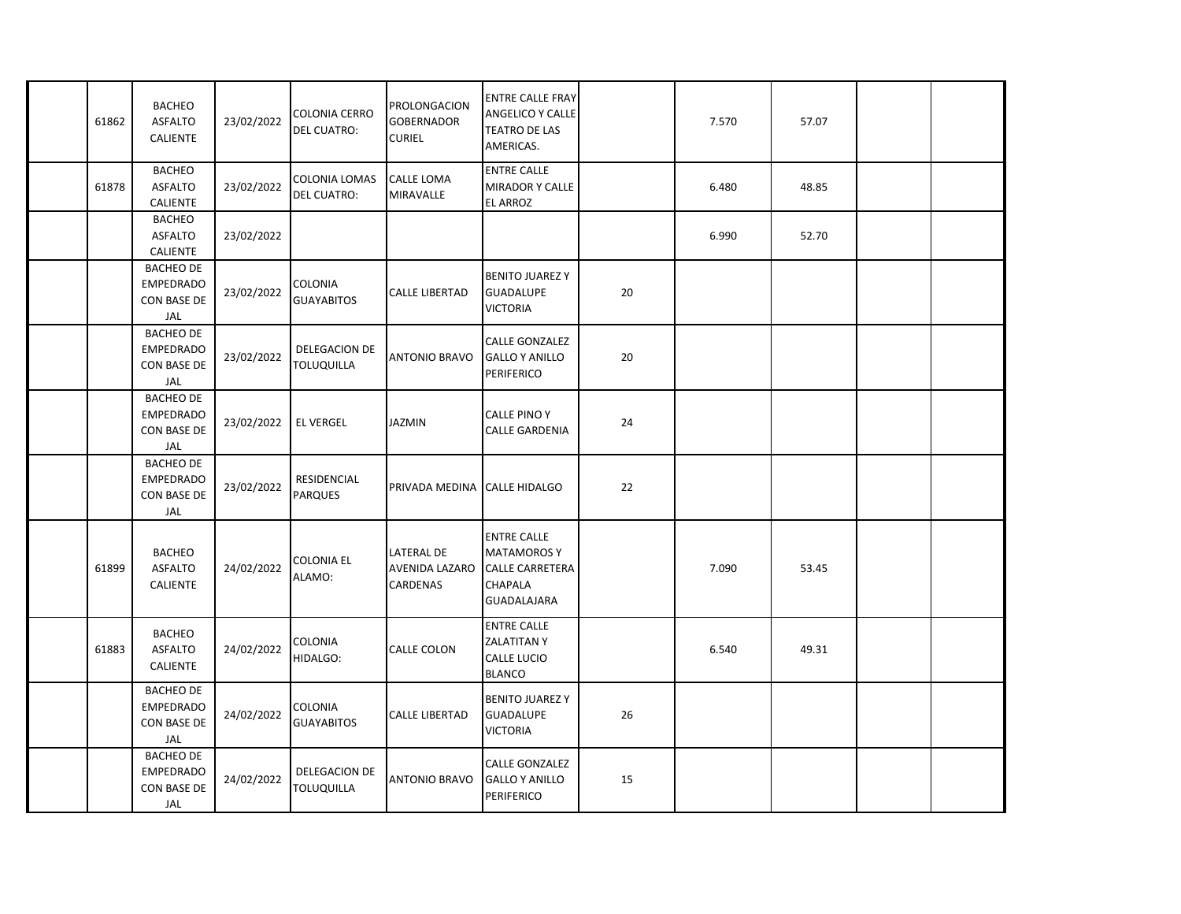| 61862 | <b>BACHEO</b><br><b>ASFALTO</b><br>CALIENTE                       | 23/02/2022 | <b>COLONIA CERRO</b><br><b>DEL CUATRO:</b> | PROLONGACION<br><b>GOBERNADOR</b><br><b>CURIEL</b> | <b>ENTRE CALLE FRAY</b><br>ANGELICO Y CALLE<br><b>TEATRO DE LAS</b><br>AMERICAS.                    |    | 7.570 | 57.07 |  |
|-------|-------------------------------------------------------------------|------------|--------------------------------------------|----------------------------------------------------|-----------------------------------------------------------------------------------------------------|----|-------|-------|--|
| 61878 | <b>BACHEO</b><br><b>ASFALTO</b><br>CALIENTE                       | 23/02/2022 | COLONIA LOMAS<br><b>DEL CUATRO:</b>        | CALLE LOMA<br>MIRAVALLE                            | <b>ENTRE CALLE</b><br>MIRADOR Y CALLE<br><b>EL ARROZ</b>                                            |    | 6.480 | 48.85 |  |
|       | <b>BACHEO</b><br><b>ASFALTO</b><br>CALIENTE                       | 23/02/2022 |                                            |                                                    |                                                                                                     |    | 6.990 | 52.70 |  |
|       | <b>BACHEO DE</b><br><b>EMPEDRADO</b><br>CON BASE DE<br>JAL        | 23/02/2022 | COLONIA<br><b>GUAYABITOS</b>               | <b>CALLE LIBERTAD</b>                              | <b>BENITO JUAREZY</b><br><b>GUADALUPE</b><br><b>VICTORIA</b>                                        | 20 |       |       |  |
|       | <b>BACHEO DE</b><br><b>EMPEDRADO</b><br>CON BASE DE<br>JAL        | 23/02/2022 | DELEGACION DE<br><b>TOLUQUILLA</b>         | <b>ANTONIO BRAVO</b>                               | CALLE GONZALEZ<br><b>GALLO Y ANILLO</b><br>PERIFERICO                                               | 20 |       |       |  |
|       | <b>BACHEO DE</b><br><b>EMPEDRADO</b><br>CON BASE DE<br>JAL        | 23/02/2022 | <b>EL VERGEL</b>                           | JAZMIN                                             | CALLE PINO Y<br>CALLE GARDENIA                                                                      | 24 |       |       |  |
|       | <b>BACHEO DE</b><br><b>EMPEDRADO</b><br><b>CON BASE DE</b><br>JAL | 23/02/2022 | RESIDENCIAL<br><b>PARQUES</b>              | PRIVADA MEDINA                                     | <b>CALLE HIDALGO</b>                                                                                | 22 |       |       |  |
| 61899 | <b>BACHEO</b><br>ASFALTO<br>CALIENTE                              | 24/02/2022 | COLONIA EL<br>ALAMO:                       | <b>LATERAL DE</b><br>AVENIDA LAZARO<br>CARDENAS    | <b>ENTRE CALLE</b><br><b>MATAMOROS Y</b><br><b>CALLE CARRETERA</b><br><b>CHAPALA</b><br>GUADALAJARA |    | 7.090 | 53.45 |  |
| 61883 | <b>BACHEO</b><br><b>ASFALTO</b><br><b>CALIENTE</b>                | 24/02/2022 | COLONIA<br>HIDALGO:                        | CALLE COLON                                        | <b>ENTRE CALLE</b><br><b>ZALATITANY</b><br><b>CALLE LUCIO</b><br><b>BLANCO</b>                      |    | 6.540 | 49.31 |  |
|       | <b>BACHEO DE</b><br><b>EMPEDRADO</b><br><b>CON BASE DE</b><br>JAL | 24/02/2022 | COLONIA<br><b>GUAYABITOS</b>               | <b>CALLE LIBERTAD</b>                              | <b>BENITO JUAREZ Y</b><br><b>GUADALUPE</b><br><b>VICTORIA</b>                                       | 26 |       |       |  |
|       | <b>BACHEO DE</b><br><b>EMPEDRADO</b><br>CON BASE DE<br>JAL        | 24/02/2022 | DELEGACION DE<br><b>TOLUQUILLA</b>         | <b>ANTONIO BRAVO</b>                               | CALLE GONZALEZ<br><b>GALLO Y ANILLO</b><br>PERIFERICO                                               | 15 |       |       |  |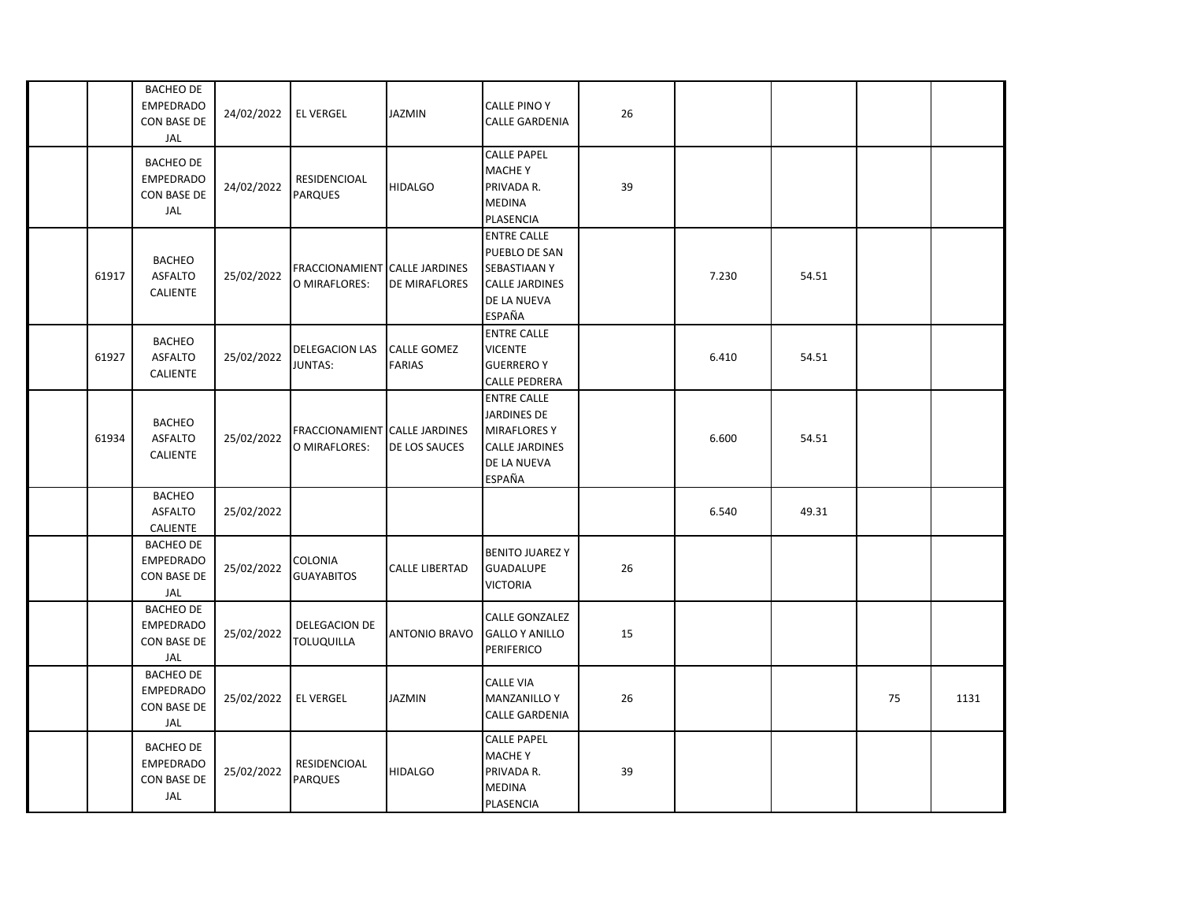|       | <b>BACHEO DE</b><br><b>EMPEDRADO</b><br>CON BASE DE<br>JAL | 24/02/2022 | <b>EL VERGEL</b>                               | <b>JAZMIN</b>                       | <b>CALLE PINO Y</b><br><b>CALLE GARDENIA</b>                                                                      | 26 |       |       |    |      |
|-------|------------------------------------------------------------|------------|------------------------------------------------|-------------------------------------|-------------------------------------------------------------------------------------------------------------------|----|-------|-------|----|------|
|       | <b>BACHEO DE</b><br><b>EMPEDRADO</b><br>CON BASE DE<br>JAL | 24/02/2022 | RESIDENCIOAL<br><b>PARQUES</b>                 | <b>HIDALGO</b>                      | <b>CALLE PAPEL</b><br><b>MACHE Y</b><br>PRIVADA R.<br><b>MEDINA</b><br>PLASENCIA                                  | 39 |       |       |    |      |
| 61917 | <b>BACHEO</b><br><b>ASFALTO</b><br><b>CALIENTE</b>         | 25/02/2022 | FRACCIONAMIENT CALLE JARDINES<br>O MIRAFLORES: | DE MIRAFLORES                       | <b>ENTRE CALLE</b><br>PUEBLO DE SAN<br><b>SEBASTIAANY</b><br><b>CALLE JARDINES</b><br>DE LA NUEVA<br>ESPAÑA       |    | 7.230 | 54.51 |    |      |
| 61927 | <b>BACHEO</b><br><b>ASFALTO</b><br><b>CALIENTE</b>         | 25/02/2022 | <b>DELEGACION LAS</b><br>JUNTAS:               | <b>CALLE GOMEZ</b><br><b>FARIAS</b> | <b>ENTRE CALLE</b><br><b>VICENTE</b><br><b>GUERRERO Y</b><br><b>CALLE PEDRERA</b>                                 |    | 6.410 | 54.51 |    |      |
| 61934 | <b>BACHEO</b><br><b>ASFALTO</b><br><b>CALIENTE</b>         | 25/02/2022 | FRACCIONAMIENT CALLE JARDINES<br>O MIRAFLORES: | DE LOS SAUCES                       | <b>ENTRE CALLE</b><br><b>JARDINES DE</b><br><b>MIRAFLORES Y</b><br><b>CALLE JARDINES</b><br>DE LA NUEVA<br>ESPAÑA |    | 6.600 | 54.51 |    |      |
|       | <b>BACHEO</b><br><b>ASFALTO</b><br>CALIENTE                | 25/02/2022 |                                                |                                     |                                                                                                                   |    | 6.540 | 49.31 |    |      |
|       | <b>BACHEO DE</b><br><b>EMPEDRADO</b><br>CON BASE DE<br>JAL | 25/02/2022 | COLONIA<br><b>GUAYABITOS</b>                   | <b>CALLE LIBERTAD</b>               | <b>BENITO JUAREZY</b><br><b>GUADALUPE</b><br><b>VICTORIA</b>                                                      | 26 |       |       |    |      |
|       | <b>BACHEO DE</b><br><b>EMPEDRADO</b><br>CON BASE DE<br>JAL | 25/02/2022 | DELEGACION DE<br><b>TOLUQUILLA</b>             | <b>ANTONIO BRAVO</b>                | <b>CALLE GONZALEZ</b><br><b>GALLO Y ANILLO</b><br><b>PERIFERICO</b>                                               | 15 |       |       |    |      |
|       | <b>BACHEO DE</b><br><b>EMPEDRADO</b><br>CON BASE DE<br>JAL | 25/02/2022 | <b>EL VERGEL</b>                               | <b>JAZMIN</b>                       | <b>CALLE VIA</b><br><b>MANZANILLO Y</b><br><b>CALLE GARDENIA</b>                                                  | 26 |       |       | 75 | 1131 |
|       | <b>BACHEO DE</b><br><b>EMPEDRADO</b><br>CON BASE DE<br>JAL | 25/02/2022 | RESIDENCIOAL<br><b>PARQUES</b>                 | <b>HIDALGO</b>                      | <b>CALLE PAPEL</b><br><b>MACHE Y</b><br>PRIVADA R.<br><b>MEDINA</b><br><b>PLASENCIA</b>                           | 39 |       |       |    |      |